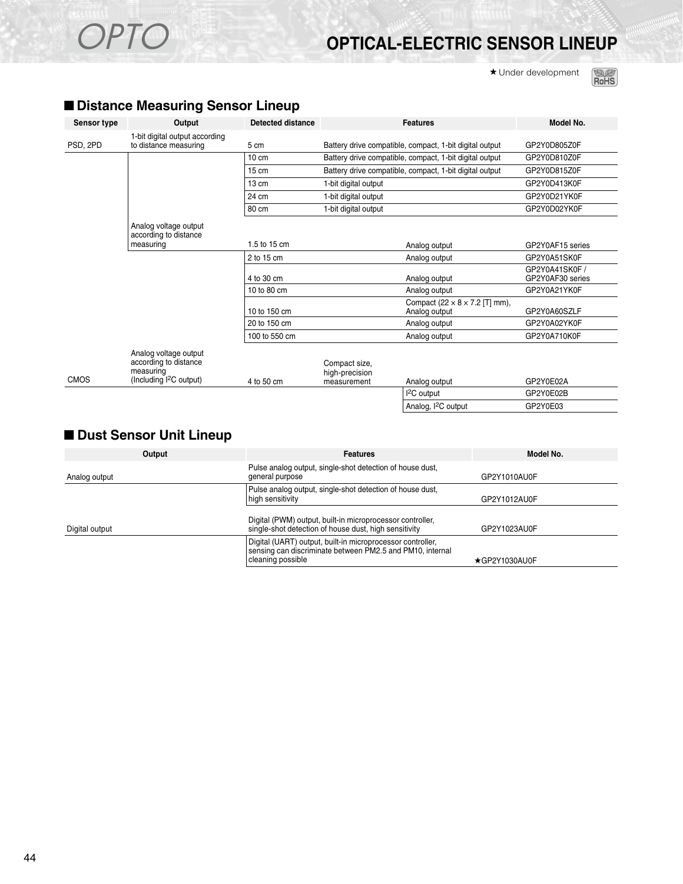# OPTO **OPTICAL-ELECTRIC SENSOR LINEUP**

★ Under development



#### ■ **Distance Measuring Sensor Lineup**

|             |                                                                                                  |                 |                                                         | Model No.                                                     |                                    |  |
|-------------|--------------------------------------------------------------------------------------------------|-----------------|---------------------------------------------------------|---------------------------------------------------------------|------------------------------------|--|
| PSD, 2PD    | 1-bit digital output according<br>to distance measuring                                          | 5 cm            | Battery drive compatible, compact, 1-bit digital output |                                                               | GP2Y0D805Z0F                       |  |
|             |                                                                                                  | $10 \text{ cm}$ |                                                         | Battery drive compatible, compact, 1-bit digital output       |                                    |  |
|             |                                                                                                  | $15 \text{ cm}$ |                                                         | Battery drive compatible, compact, 1-bit digital output       | GP2Y0D815Z0F                       |  |
|             |                                                                                                  | $13 \text{ cm}$ | 1-bit digital output                                    |                                                               | GP2Y0D413K0F                       |  |
|             |                                                                                                  | 24 cm           | 1-bit digital output                                    |                                                               | GP2Y0D21YK0F                       |  |
|             |                                                                                                  | 80 cm           | 1-bit digital output                                    |                                                               |                                    |  |
|             | Analog voltage output<br>according to distance                                                   |                 |                                                         |                                                               |                                    |  |
|             | measuring                                                                                        | 1.5 to 15 cm    |                                                         | Analog output                                                 |                                    |  |
|             |                                                                                                  | 2 to 15 cm      | Analog output                                           |                                                               | GP2Y0A51SK0F                       |  |
|             |                                                                                                  | 4 to 30 cm      |                                                         | Analog output                                                 | GP2Y0A41SK0F /<br>GP2Y0AF30 series |  |
|             |                                                                                                  | 10 to 80 cm     |                                                         | Analog output                                                 |                                    |  |
|             |                                                                                                  | 10 to 150 cm    |                                                         | Compact (22 $\times$ 8 $\times$ 7.2 [T] mm),<br>Analog output |                                    |  |
|             |                                                                                                  | 20 to 150 cm    |                                                         | Analog output                                                 | GP2Y0A02YK0F                       |  |
|             |                                                                                                  | 100 to 550 cm   |                                                         | Analog output                                                 | GP2Y0A710K0F                       |  |
| <b>CMOS</b> | Analog voltage output<br>according to distance<br>measuring<br>(Including <sup>2</sup> C output) | 4 to 50 cm      | Compact size,<br>high-precision<br>measurement          | Analog output                                                 | GP2Y0E02A                          |  |
|             |                                                                                                  |                 |                                                         | I <sup>2</sup> C output                                       | GP2Y0E02B                          |  |
|             |                                                                                                  |                 |                                                         | Analog, I <sup>2</sup> C output                               | GP2Y0E03                           |  |

#### ■ Dust Sensor Unit Lineup

| Output         | <b>Features</b>                                                                                                                              | Model No.            |
|----------------|----------------------------------------------------------------------------------------------------------------------------------------------|----------------------|
| Analog output  | Pulse analog output, single-shot detection of house dust,<br>general purpose                                                                 | GP2Y1010AU0F         |
|                | Pulse analog output, single-shot detection of house dust,<br>high sensitivity                                                                | GP2Y1012AU0F         |
| Digital output | Digital (PWM) output, built-in microprocessor controller,<br>single-shot detection of house dust, high sensitivity                           | GP2Y1023AU0F         |
|                | Digital (UART) output, built-in microprocessor controller,<br>sensing can discriminate between PM2.5 and PM10, internal<br>cleaning possible | $\star$ GP2Y1030AU0F |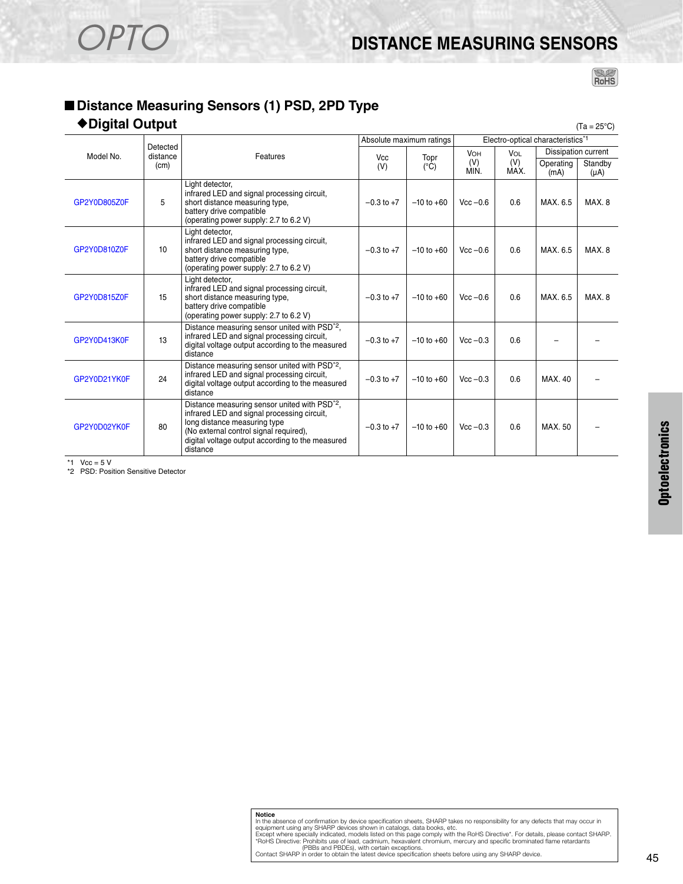# OPTO **DISTANCE MEASURING SENSORS**

 $R$ ohs

#### ■ **Distance Measuring Sensors (1) PSD, 2PD Type**

#### ◆**Digital Output** (Ta = 25°C)

|              |                              |                                                                                                                                                                                                                                                    |                | Absolute maximum ratings | Electro-optical characteristics*1 |            |           |                                |
|--------------|------------------------------|----------------------------------------------------------------------------------------------------------------------------------------------------------------------------------------------------------------------------------------------------|----------------|--------------------------|-----------------------------------|------------|-----------|--------------------------------|
| Model No.    | Detected<br>distance<br>(cm) | Features                                                                                                                                                                                                                                           | Vcc<br>(V)     | Topr<br>$(^{\circ}C)$    | <b>VOH</b><br>(V)                 | VOL<br>(V) | Operating | Dissipation current<br>Standby |
|              |                              |                                                                                                                                                                                                                                                    |                |                          | MIN.                              | MAX.       | (mA)      | $(\mu A)$                      |
| GP2Y0D805Z0F | 5                            | Light detector,<br>infrared LED and signal processing circuit.<br>short distance measuring type,<br>battery drive compatible<br>(operating power supply: 2.7 to 6.2 V)                                                                             | $-0.3$ to $+7$ | $-10$ to $+60$           | $Vec - 0.6$                       | 0.6        | MAX. 6.5  | MAX <sub>8</sub>               |
| GP2Y0D810Z0F | 10                           | Light detector,<br>infrared LED and signal processing circuit,<br>short distance measuring type,<br>battery drive compatible<br>(operating power supply: 2.7 to 6.2 V)                                                                             | $-0.3$ to $+7$ | $-10$ to $+60$           | $Vec - 0.6$                       | 0.6        | MAX. 6.5  | MAX. 8                         |
| GP2Y0D815Z0F | 15                           | Light detector.<br>infrared LED and signal processing circuit.<br>short distance measuring type,<br>battery drive compatible<br>(operating power supply: 2.7 to 6.2 V)                                                                             | $-0.3$ to $+7$ | $-10$ to $+60$           | $Vcc - 0.6$                       | 0.6        | MAX. 6.5  | MAX.8                          |
| GP2Y0D413K0F | 13                           | Distance measuring sensor united with PSD <sup>*2</sup> ,<br>infrared LED and signal processing circuit,<br>digital voltage output according to the measured<br>distance                                                                           | $-0.3$ to $+7$ | $-10$ to $+60$           | $Vec - 0.3$                       | 0.6        |           |                                |
| GP2Y0D21YK0F | 24                           | Distance measuring sensor united with PSD <sup>*2</sup> ,<br>infrared LED and signal processing circuit,<br>digital voltage output according to the measured<br>distance                                                                           | $-0.3$ to $+7$ | $-10$ to $+60$           | $Vec - 0.3$                       | 0.6        | MAX, 40   |                                |
| GP2Y0D02YK0F | 80                           | Distance measuring sensor united with PSD <sup>*2</sup> ,<br>infrared LED and signal processing circuit,<br>long distance measuring type<br>(No external control signal required),<br>digital voltage output according to the measured<br>distance | $-0.3$ to $+7$ | $-10$ to $+60$           | $Vec - 0.3$                       | 0.6        | MAX. 50   |                                |

\*1  $Vcc = 5 V$ 

\*2 PSD: Position Sensitive Detector

**Notice**<br>In the absence of confirmation by device specification sheets, SHARP takes no responsibility for any defects that may occur in<br>equipment using any SHARP devices shown in catalogs, data books, etc.<br>Except where spe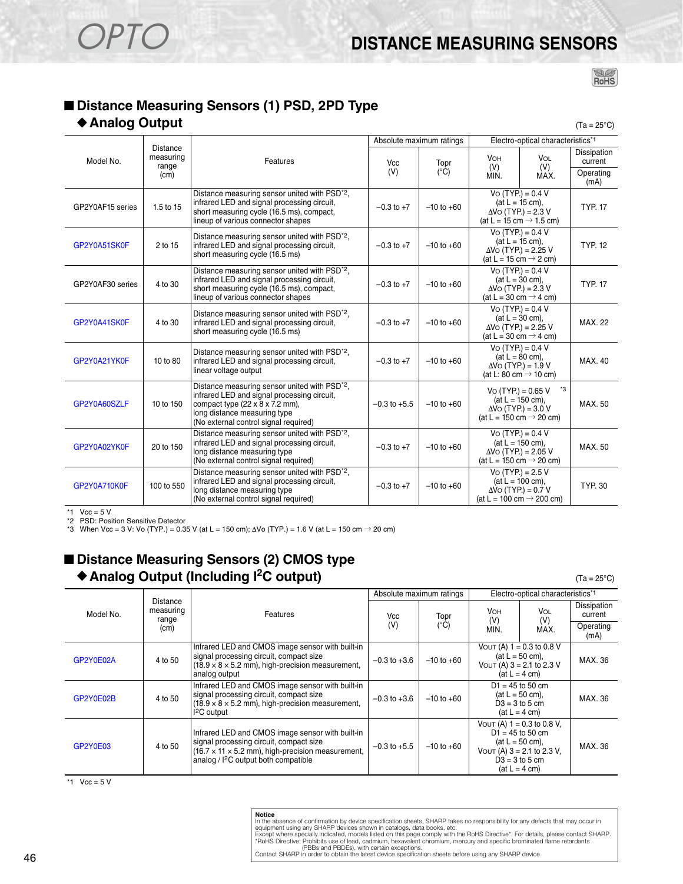## ■ **Distance Measuring Sensors (1) PSD, 2PD Type**

#### ◆ Analog Output (Ta = 25°C)

|                  | Absolute maximum ratings              |                                                                                                                                                                                                                                           |                  | Electro-optical characteristics*1 |                                                                                                                 |                                                   |                        |
|------------------|---------------------------------------|-------------------------------------------------------------------------------------------------------------------------------------------------------------------------------------------------------------------------------------------|------------------|-----------------------------------|-----------------------------------------------------------------------------------------------------------------|---------------------------------------------------|------------------------|
| Model No.        | <b>Distance</b><br>measuring<br>range | Features                                                                                                                                                                                                                                  | Vcc              | Topr                              | <b>VOH</b><br><b>VOL</b><br>(V)<br>(V)                                                                          |                                                   | Dissipation<br>current |
|                  | (cm)                                  |                                                                                                                                                                                                                                           | (V)              | $(^{\circ}C)$                     | MIN.                                                                                                            | MAX.                                              | Operating<br>(mA)      |
| GP2Y0AF15 series | 1.5 to 15                             | Distance measuring sensor united with PSD <sup>*2</sup> ,<br>infrared LED and signal processing circuit,<br>short measuring cycle (16.5 ms), compact,<br>lineup of various connector shapes                                               | $-0.3$ to $+7$   | $-10$ to $+60$                    | $Vo$ (TYP.) = 0.4 V<br>$(at L = 15 cm)$ ,<br>$\Delta$ Vo (TYP.) = 2.3 V<br>(at L = 15 cm $\rightarrow$ 1.5 cm)  |                                                   | <b>TYP. 17</b>         |
| GP2Y0A51SK0F     | 2 to 15                               | Distance measuring sensor united with PSD <sup>*2</sup> ,<br>infrared LED and signal processing circuit,<br>short measuring cycle (16.5 ms)                                                                                               | $-0.3$ to $+7$   | $-10$ to $+60$                    | $Vo$ (TYP.) = 0.4 V<br>$(at L = 15 cm).$<br>$\Delta$ Vo (TYP.) = 2.25 V                                         | (at L = 15 cm $\rightarrow$ 2 cm)                 | <b>TYP. 12</b>         |
| GP2Y0AF30 series | 4 to 30                               | Distance measuring sensor united with PSD <sup>*2</sup> ,<br>infrared LED and signal processing circuit,<br>short measuring cycle (16.5 ms), compact,<br>lineup of various connector shapes                                               | $-0.3$ to $+7$   | $-10$ to $+60$                    | $Vo$ (TYP.) = 0.4 V<br>(at $L = 30$ cm).<br>$\Delta$ Vo (TYP.) = 2.3 V<br>(at L = 30 cm $\rightarrow$ 4 cm)     |                                                   | <b>TYP. 17</b>         |
| GP2Y0A41SK0F     | 4 to 30                               | Distance measuring sensor united with PSD <sup>*2</sup> ,<br>infrared LED and signal processing circuit,<br>short measuring cycle (16.5 ms)                                                                                               | $-0.3$ to $+7$   | $-10$ to $+60$                    | $Vo$ (TYP.) = 0.4 V<br>$(at L = 30 cm)$ ,<br>$\Delta$ Vo (TYP.) = 2.25 V<br>(at L = 30 cm $\rightarrow$ 4 cm)   |                                                   | <b>MAX.22</b>          |
| GP2Y0A21YK0F     | 10 to 80                              | Distance measuring sensor united with PSD <sup>*2</sup> ,<br>infrared LED and signal processing circuit,<br>linear voltage output                                                                                                         | $-0.3$ to $+7$   | $-10$ to $+60$                    | $Vo$ (TYP.) = 0.4 V<br>$(at L = 80 cm)$ ,<br>$\Delta$ Vo (TYP.) = 1.9 V<br>(at L: 80 cm $\rightarrow$ 10 cm)    |                                                   | MAX. 40                |
| GP2Y0A60SZLF     | 10 to 150                             | Distance measuring sensor united with PSD <sup>*2</sup> ,<br>infrared LED and signal processing circuit,<br>compact type $(22 \times 8 \times 7.2 \text{ mm})$ ,<br>long distance measuring type<br>(No external control signal required) | $-0.3$ to $+5.5$ | $-10$ to $+60$                    | $Vo$ (TYP.) = 0.65 V<br>$\Delta$ Vo (TYP.) = 3.0 V<br>(at L = 150 cm $\rightarrow$ 20 cm)                       | *3<br>$(at L = 150 cm)$ ,                         | MAX. 50                |
| GP2Y0A02YK0F     | 20 to 150                             | Distance measuring sensor united with PSD <sup>*2</sup> ,<br>infrared LED and signal processing circuit,<br>long distance measuring type<br>(No external control signal required)                                                         | $-0.3$ to $+7$   | $-10$ to $+60$                    | $Vo$ (TYP.) = 0.4 V<br>$(at L = 150 cm).$<br>$\Delta$ Vo (TYP.) = 2.05 V<br>(at L = 150 cm $\rightarrow$ 20 cm) |                                                   | MAX. 50                |
| GP2Y0A710K0F     | 100 to 550                            | Distance measuring sensor united with PSD <sup>*2</sup> ,<br>infrared LED and signal processing circuit,<br>long distance measuring type<br>(No external control signal required)                                                         | $-0.3$ to $+7$   | $-10$ to $+60$                    | $Vo$ (TYP.) = 2.5 V<br>(at L = 100 cm $\rightarrow$ 200 cm)                                                     | $(at L = 100 cm)$ ,<br>$\Delta$ Vo (TYP.) = 0.7 V | <b>TYP. 30</b>         |

\*1  $Vcc = 5 V$ 

\*2 PSD: Position Sensitive Detector \*3 When Vcc = 3 V: Vo (TYP.) = 0.35 V (at L = 150 cm); ∆Vo (TYP.) = 1.6 V (at L = 150 cm → 20 cm)

#### ■ **Distance Measuring Sensors (2) CMOS type** ◆ Analog Output (Including I<sup>2</sup>C output) (Ta = 25°C)

 $R$ <sub>Ro</sub>HS

|           |                                               |                                                                                                                                                                                                                           | Absolute maximum ratings |                       | Electro-optical characteristics <sup>*1</sup>                                                      |                                                                                                                                                |                        |
|-----------|-----------------------------------------------|---------------------------------------------------------------------------------------------------------------------------------------------------------------------------------------------------------------------------|--------------------------|-----------------------|----------------------------------------------------------------------------------------------------|------------------------------------------------------------------------------------------------------------------------------------------------|------------------------|
| Model No. | <b>Distance</b><br>measuring<br>range<br>(cm) | Features                                                                                                                                                                                                                  | Vcc<br>(V)               | Topr<br>$(^{\circ}C)$ | <b>VOH</b><br>(V)<br>MIN.                                                                          | <b>VOL</b><br>(V)<br>MAX.                                                                                                                      | Dissipation<br>current |
|           |                                               |                                                                                                                                                                                                                           |                          |                       |                                                                                                    |                                                                                                                                                | Operating<br>(mA)      |
| GP2Y0E02A | 4 to 50                                       | Infrared LED and CMOS image sensor with built-in<br>signal processing circuit, compact size<br>$(18.9 \times 8 \times 5.2 \text{ mm})$ , high-precision measurement,<br>analog output                                     | $-0.3$ to $+3.6$         | $-10$ to $+60$        | VOUT (A) $1 = 0.3$ to 0.8 V<br>$(at L = 50 cm).$<br>VOUT (A) $3 = 2.1$ to 2.3 V<br>$(at L = 4 cm)$ |                                                                                                                                                | MAX. 36                |
| GP2Y0E02B | 4 to 50                                       | Infrared LED and CMOS image sensor with built-in<br>signal processing circuit, compact size<br>$(18.9 \times 8 \times 5.2 \text{ mm})$ , high-precision measurement,<br>I <sup>2</sup> C output                           | $-0.3$ to $+3.6$         | $-10$ to $+60$        | $D1 = 45$ to 50 cm<br>$(at L = 50 cm)$ ,<br>$D3 = 3$ to 5 cm<br>$(at L = 4 cm)$                    |                                                                                                                                                | MAX. 36                |
| GP2Y0E03  | 4 to 50                                       | Infrared LED and CMOS image sensor with built-in<br>signal processing circuit, compact size<br>$(16.7 \times 11 \times 5.2 \text{ mm})$ , high-precision measurement,<br>analog / I <sup>2</sup> C output both compatible | $-0.3$ to $+5.5$         | $-10$ to $+60$        |                                                                                                    | VOUT (A) $1 = 0.3$ to 0.8 V,<br>$D1 = 45$ to 50 cm<br>$(at L = 50 cm).$<br>VOUT (A) $3 = 2.1$ to 2.3 V,<br>$D3 = 3$ to 5 cm<br>$(at L = 4 cm)$ | MAX. 36                |

\*1  $Vcc = 5 V$ 

| Notice                                                                                                                           |
|----------------------------------------------------------------------------------------------------------------------------------|
| In the absence of confirmation by device specification sheets, SHARP takes no responsibility for any defects that may occur in   |
| equipment using any SHARP devices shown in catalogs, data books, etc.                                                            |
| Except where specially indicated, models listed on this page comply with the RoHS Directive*. For details, please contact SHARP. |
| *RoHS Directive: Prohibits use of lead, cadmium, hexavalent chromium, mercury and specific brominated flame retardants           |
| (PBBs and PBDEs), with certain exceptions.                                                                                       |
| Contact SHARP in order to obtain the latest device specification sheets before using any SHARP device.                           |
|                                                                                                                                  |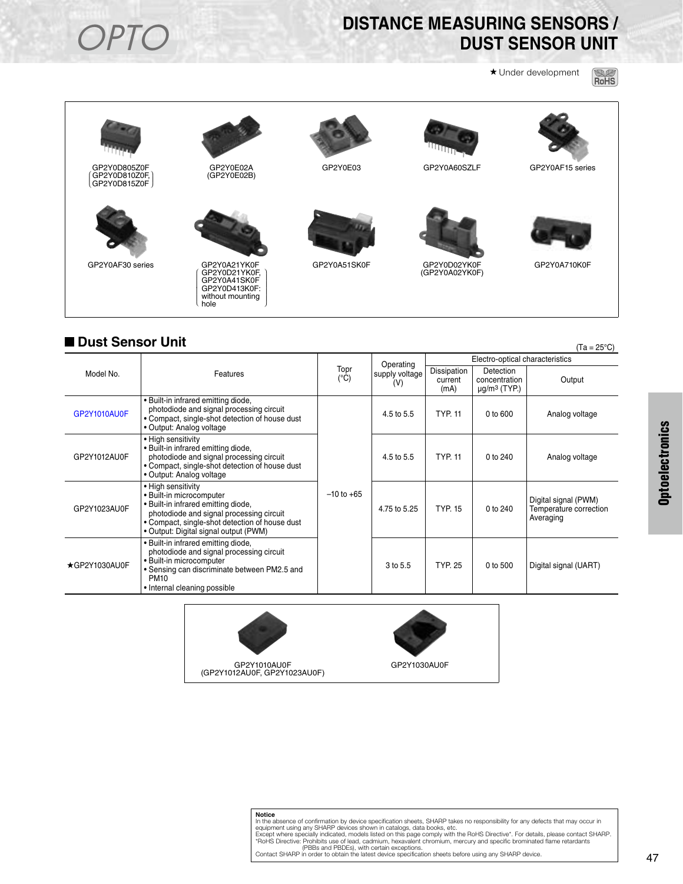## **OPTO** DISTANCE MEASURING SENSORS /<br>DUST SENSOR UNIT **DUST SENSOR UNIT**

★ Under development





### ■ **Dust Sensor Unit** (Ta = 25°C)

|               |                                                                                                                                                                                                                              |                       |                       |                                 |                                                                    | ,                                                           |  |
|---------------|------------------------------------------------------------------------------------------------------------------------------------------------------------------------------------------------------------------------------|-----------------------|-----------------------|---------------------------------|--------------------------------------------------------------------|-------------------------------------------------------------|--|
|               |                                                                                                                                                                                                                              | Topr<br>$(^{\circ}C)$ | Operating             | Electro-optical characteristics |                                                                    |                                                             |  |
| Model No.     | Features                                                                                                                                                                                                                     |                       | supply voltage<br>(V) | Dissipation<br>current<br>(mA)  | <b>Detection</b><br>concentration<br>$\mu$ g/m <sup>3</sup> (TYP.) | Output                                                      |  |
| GP2Y1010AU0F  | . Built-in infrared emitting diode,<br>photodiode and signal processing circuit<br>• Compact, single-shot detection of house dust<br>• Output: Analog voltage                                                                |                       | 4.5 to 5.5            | <b>TYP. 11</b>                  | 0 to 600                                                           | Analog voltage                                              |  |
| GP2Y1012AU0F  | • High sensitivity<br>. Built-in infrared emitting diode,<br>photodiode and signal processing circuit<br>• Compact, single-shot detection of house dust<br>• Output: Analog voltage                                          |                       | 4.5 to 5.5            | <b>TYP. 11</b>                  | 0 to 240                                                           | Analog voltage                                              |  |
| GP2Y1023AU0F  | • High sensitivity<br>• Built-in microcomputer<br>. Built-in infrared emitting diode,<br>photodiode and signal processing circuit<br>• Compact, single-shot detection of house dust<br>• Output: Digital signal output (PWM) | $-10$ to $+65$        | 4.75 to 5.25          | <b>TYP. 15</b>                  | 0 to 240                                                           | Digital signal (PWM)<br>Temperature correction<br>Averaging |  |
| ★GP2Y1030AU0F | · Built-in infrared emitting diode,<br>photodiode and signal processing circuit<br>• Built-in microcomputer<br>• Sensing can discriminate between PM2.5 and<br><b>PM10</b><br>• Internal cleaning possible                   |                       | 3 to 5.5              | <b>TYP. 25</b>                  | 0 to 500                                                           | Digital signal (UART)                                       |  |





## **Notice** In the absence of confirmation by device specification sheets, SHARP takes no responsibility for any defects that may occur in<br>equipment using any SHARP divides shown in catalogis, data books, etc.<br>Except where specially i